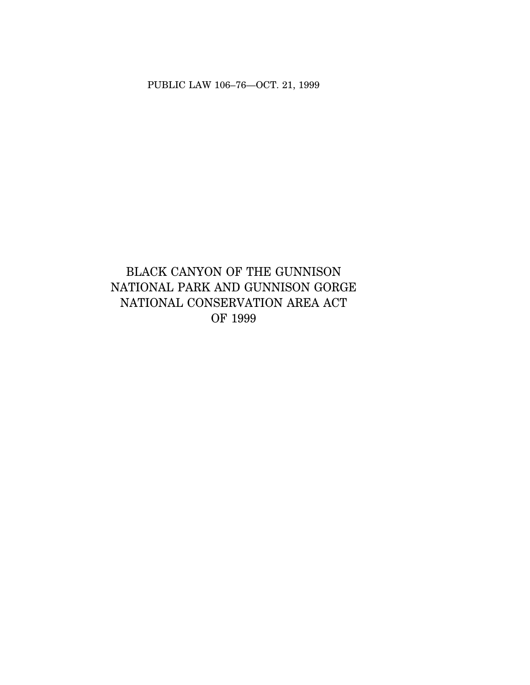PUBLIC LAW 106–76—OCT. 21, 1999

# BLACK CANYON OF THE GUNNISON NATIONAL PARK AND GUNNISON GORGE NATIONAL CONSERVATION AREA ACT OF 1999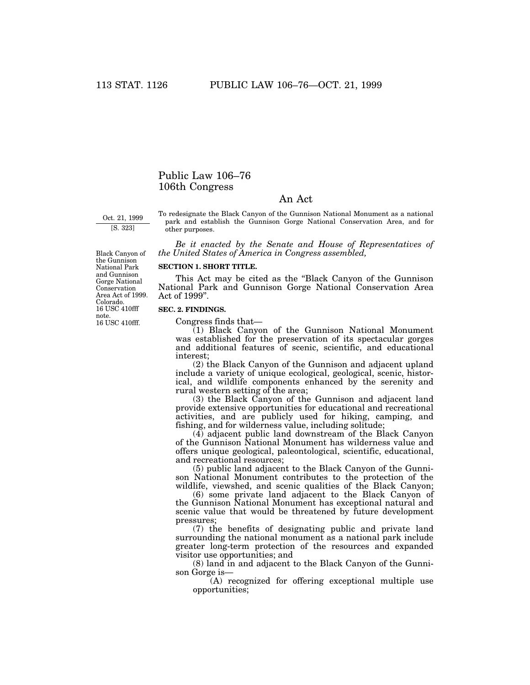# Public Law 106–76 106th Congress

# An Act

Oct. 21, 1999 [S. 323]

To redesignate the Black Canyon of the Gunnison National Monument as a national park and establish the Gunnison Gorge National Conservation Area, and for other purposes.

*Be it enacted by the Senate and House of Representatives of the United States of America in Congress assembled,* 

# **SECTION 1. SHORT TITLE.**

This Act may be cited as the ''Black Canyon of the Gunnison National Park and Gunnison Gorge National Conservation Area Act of 1999''.

# **SEC. 2. FINDINGS.**

Congress finds that—

(1) Black Canyon of the Gunnison National Monument was established for the preservation of its spectacular gorges and additional features of scenic, scientific, and educational interest;

(2) the Black Canyon of the Gunnison and adjacent upland include a variety of unique ecological, geological, scenic, historical, and wildlife components enhanced by the serenity and rural western setting of the area;

(3) the Black Canyon of the Gunnison and adjacent land provide extensive opportunities for educational and recreational activities, and are publicly used for hiking, camping, and fishing, and for wilderness value, including solitude;

(4) adjacent public land downstream of the Black Canyon of the Gunnison National Monument has wilderness value and offers unique geological, paleontological, scientific, educational, and recreational resources;

(5) public land adjacent to the Black Canyon of the Gunnison National Monument contributes to the protection of the wildlife, viewshed, and scenic qualities of the Black Canyon;

(6) some private land adjacent to the Black Canyon of the Gunnison National Monument has exceptional natural and scenic value that would be threatened by future development pressures;

(7) the benefits of designating public and private land surrounding the national monument as a national park include greater long-term protection of the resources and expanded visitor use opportunities; and

(8) land in and adjacent to the Black Canyon of the Gunnison Gorge is—

(A) recognized for offering exceptional multiple use opportunities;

Black Canyon of the Gunnison National Park and Gunnison Gorge National Conservation Area Act of 1999. Colorado. 16 USC 410fff note. 16 USC 410fff.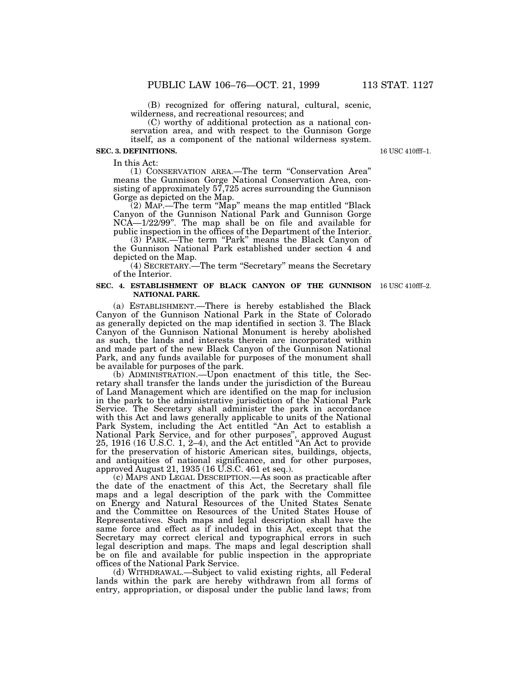(B) recognized for offering natural, cultural, scenic, wilderness, and recreational resources; and

(C) worthy of additional protection as a national conservation area, and with respect to the Gunnison Gorge itself, as a component of the national wilderness system.

#### **SEC. 3. DEFINITIONS.**

In this Act:

(1) CONSERVATION AREA.—The term ''Conservation Area'' means the Gunnison Gorge National Conservation Area, consisting of approximately 57,725 acres surrounding the Gunnison Gorge as depicted on the Map.

(2) MAP.—The term ''Map'' means the map entitled ''Black Canyon of the Gunnison National Park and Gunnison Gorge NCA—1/22/99''. The map shall be on file and available for public inspection in the offices of the Department of the Interior.

(3) PARK.—The term "Park" means the Black Canyon of the Gunnison National Park established under section 4 and depicted on the Map.

(4) SECRETARY.—The term ''Secretary'' means the Secretary of the Interior.

#### **SEC. 4. ESTABLISHMENT OF BLACK CANYON OF THE GUNNISON** 16 USC 410fff–2. **NATIONAL PARK.**

(a) ESTABLISHMENT.—There is hereby established the Black Canyon of the Gunnison National Park in the State of Colorado as generally depicted on the map identified in section 3. The Black Canyon of the Gunnison National Monument is hereby abolished as such, the lands and interests therein are incorporated within and made part of the new Black Canyon of the Gunnison National Park, and any funds available for purposes of the monument shall be available for purposes of the park.

(b) ADMINISTRATION.—Upon enactment of this title, the Secretary shall transfer the lands under the jurisdiction of the Bureau of Land Management which are identified on the map for inclusion in the park to the administrative jurisdiction of the National Park Service. The Secretary shall administer the park in accordance with this Act and laws generally applicable to units of the National Park System, including the Act entitled "An Act to establish a National Park Service, and for other purposes'', approved August 25, 1916 (16 U.S.C. 1, 2–4), and the Act entitled ''An Act to provide for the preservation of historic American sites, buildings, objects, and antiquities of national significance, and for other purposes, approved August 21, 1935 (16 U.S.C. 461 et seq.).

(c) MAPS AND LEGAL DESCRIPTION.—As soon as practicable after the date of the enactment of this Act, the Secretary shall file maps and a legal description of the park with the Committee on Energy and Natural Resources of the United States Senate and the Committee on Resources of the United States House of Representatives. Such maps and legal description shall have the same force and effect as if included in this Act, except that the Secretary may correct clerical and typographical errors in such legal description and maps. The maps and legal description shall be on file and available for public inspection in the appropriate offices of the National Park Service.

(d) WITHDRAWAL.—Subject to valid existing rights, all Federal lands within the park are hereby withdrawn from all forms of entry, appropriation, or disposal under the public land laws; from

16 USC 410fff–1.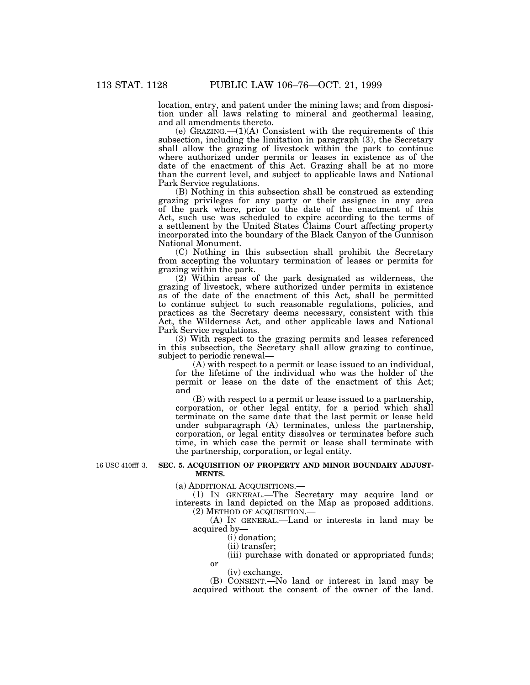location, entry, and patent under the mining laws; and from disposition under all laws relating to mineral and geothermal leasing, and all amendments thereto.

(e) GRAZING.—(1)(A) Consistent with the requirements of this subsection, including the limitation in paragraph (3), the Secretary shall allow the grazing of livestock within the park to continue where authorized under permits or leases in existence as of the date of the enactment of this Act. Grazing shall be at no more than the current level, and subject to applicable laws and National Park Service regulations.

(B) Nothing in this subsection shall be construed as extending grazing privileges for any party or their assignee in any area of the park where, prior to the date of the enactment of this Act, such use was scheduled to expire according to the terms of a settlement by the United States Claims Court affecting property incorporated into the boundary of the Black Canyon of the Gunnison National Monument.

(C) Nothing in this subsection shall prohibit the Secretary from accepting the voluntary termination of leases or permits for grazing within the park.

(2) Within areas of the park designated as wilderness, the grazing of livestock, where authorized under permits in existence as of the date of the enactment of this Act, shall be permitted to continue subject to such reasonable regulations, policies, and practices as the Secretary deems necessary, consistent with this Act, the Wilderness Act, and other applicable laws and National Park Service regulations.

(3) With respect to the grazing permits and leases referenced in this subsection, the Secretary shall allow grazing to continue, subject to periodic renewal—

(A) with respect to a permit or lease issued to an individual, for the lifetime of the individual who was the holder of the permit or lease on the date of the enactment of this Act; and

(B) with respect to a permit or lease issued to a partnership, corporation, or other legal entity, for a period which shall terminate on the same date that the last permit or lease held under subparagraph (A) terminates, unless the partnership, corporation, or legal entity dissolves or terminates before such time, in which case the permit or lease shall terminate with the partnership, corporation, or legal entity.

16 USC 410fff–3.

### **SEC. 5. ACQUISITION OF PROPERTY AND MINOR BOUNDARY ADJUST-MENTS.**

(a) ADDITIONAL ACQUISITIONS.—

(1) IN GENERAL.—The Secretary may acquire land or interests in land depicted on the Map as proposed additions. (2) METHOD OF ACQUISITION.—

(A) IN GENERAL.—Land or interests in land may be acquired by—

(i) donation;

(ii) transfer;

(iii) purchase with donated or appropriated funds; or

(iv) exchange.

(B) CONSENT.—No land or interest in land may be acquired without the consent of the owner of the land.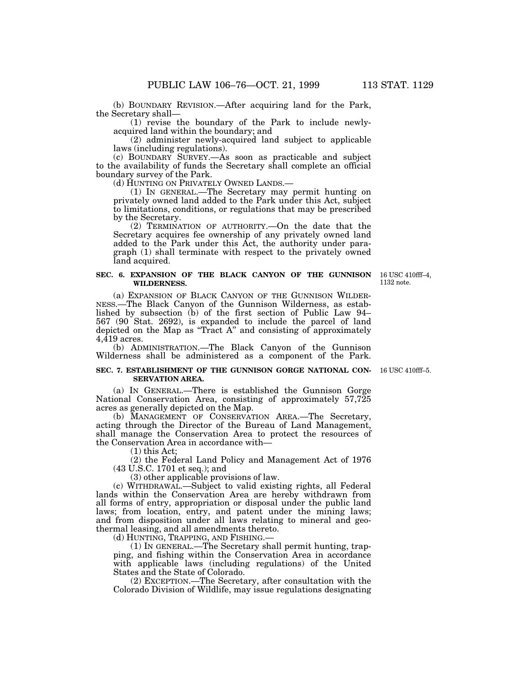(b) BOUNDARY REVISION.—After acquiring land for the Park, the Secretary shall—

(1) revise the boundary of the Park to include newlyacquired land within the boundary; and

(2) administer newly-acquired land subject to applicable laws (including regulations).

(c) BOUNDARY SURVEY.—As soon as practicable and subject to the availability of funds the Secretary shall complete an official boundary survey of the Park.

(d) HUNTING ON PRIVATELY OWNED LANDS.—

(1) IN GENERAL.—The Secretary may permit hunting on privately owned land added to the Park under this Act, subject to limitations, conditions, or regulations that may be prescribed by the Secretary.

(2) TERMINATION OF AUTHORITY.—On the date that the Secretary acquires fee ownership of any privately owned land added to the Park under this Act, the authority under paragraph (1) shall terminate with respect to the privately owned land acquired.

#### **SEC. 6. EXPANSION OF THE BLACK CANYON OF THE GUNNISON WILDERNESS.**

16 USC 410fff–4, 1132 note.

(a) EXPANSION OF BLACK CANYON OF THE GUNNISON WILDER-NESS.—The Black Canyon of the Gunnison Wilderness, as established by subsection (b) of the first section of Public Law 94– 567 (90 Stat. 2692), is expanded to include the parcel of land depicted on the Map as "Tract A" and consisting of approximately  $4,\overline{4}19$  acres.

(b) ADMINISTRATION.—The Black Canyon of the Gunnison Wilderness shall be administered as a component of the Park.

#### **SEC. 7. ESTABLISHMENT OF THE GUNNISON GORGE NATIONAL CON-**16 USC 410fff–5. **SERVATION AREA.**

(a) IN GENERAL.—There is established the Gunnison Gorge National Conservation Area, consisting of approximately 57,725 acres as generally depicted on the Map.

(b) MANAGEMENT OF CONSERVATION AREA.—The Secretary, acting through the Director of the Bureau of Land Management, shall manage the Conservation Area to protect the resources of the Conservation Area in accordance with—

(1) this Act;

(2) the Federal Land Policy and Management Act of 1976 (43 U.S.C. 1701 et seq.); and

(3) other applicable provisions of law.

(c) WITHDRAWAL.—Subject to valid existing rights, all Federal lands within the Conservation Area are hereby withdrawn from all forms of entry, appropriation or disposal under the public land laws; from location, entry, and patent under the mining laws; and from disposition under all laws relating to mineral and geothermal leasing, and all amendments thereto.

(d) HUNTING, TRAPPING, AND FISHING.

(1) IN GENERAL.—The Secretary shall permit hunting, trapping, and fishing within the Conservation Area in accordance with applicable laws (including regulations) of the United States and the State of Colorado.

(2) EXCEPTION.—The Secretary, after consultation with the Colorado Division of Wildlife, may issue regulations designating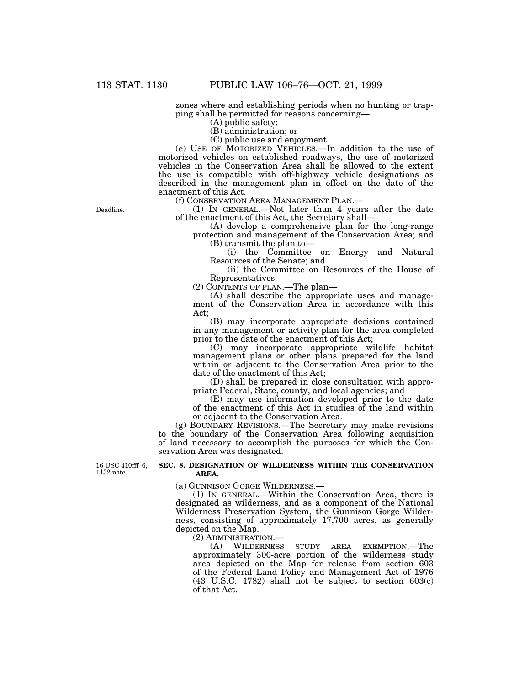zones where and establishing periods when no hunting or trapping shall be permitted for reasons concerning—

(A) public safety;

(B) administration; or

(C) public use and enjoyment.

(e) USE OF MOTORIZED VEHICLES.—In addition to the use of motorized vehicles on established roadways, the use of motorized vehicles in the Conservation Area shall be allowed to the extent the use is compatible with off-highway vehicle designations as described in the management plan in effect on the date of the enactment of this Act.

(f) CONSERVATION AREA MANAGEMENT PLAN.—

(1) IN GENERAL.—Not later than 4 years after the date of the enactment of this Act, the Secretary shall—

(A) develop a comprehensive plan for the long-range protection and management of the Conservation Area; and (B) transmit the plan to—

(i) the Committee on Energy and Natural Resources of the Senate; and

(ii) the Committee on Resources of the House of Representatives.

(2) CONTENTS OF PLAN.—The plan—

(A) shall describe the appropriate uses and management of the Conservation Area in accordance with this Act;

(B) may incorporate appropriate decisions contained in any management or activity plan for the area completed prior to the date of the enactment of this Act;

(C) may incorporate appropriate wildlife habitat management plans or other plans prepared for the land within or adjacent to the Conservation Area prior to the date of the enactment of this Act;

(D) shall be prepared in close consultation with appropriate Federal, State, county, and local agencies; and

(E) may use information developed prior to the date of the enactment of this Act in studies of the land within or adjacent to the Conservation Area.

(g) BOUNDARY REVISIONS.—The Secretary may make revisions to the boundary of the Conservation Area following acquisition of land necessary to accomplish the purposes for which the Conservation Area was designated.

16 USC 410fff–6, 1132 note.

#### **SEC. 8. DESIGNATION OF WILDERNESS WITHIN THE CONSERVATION AREA.**

(a) GUNNISON GORGE WILDERNESS.—

(1) IN GENERAL.—Within the Conservation Area, there is designated as wilderness, and as a component of the National Wilderness Preservation System, the Gunnison Gorge Wilderness, consisting of approximately 17,700 acres, as generally depicted on the Map.

(2) ADMINISTRATION.<br>(A) WILDERNESS

(A) WILDERNESS STUDY AREA EXEMPTION.—The approximately 300-acre portion of the wilderness study area depicted on the Map for release from section 603 of the Federal Land Policy and Management Act of 1976 (43 U.S.C. 1782) shall not be subject to section 603(c) of that Act.

Deadline.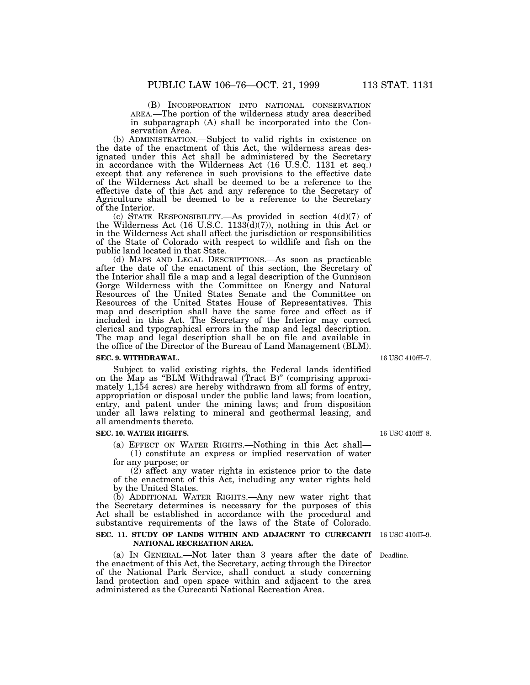(B) INCORPORATION INTO NATIONAL CONSERVATION AREA.—The portion of the wilderness study area described in subparagraph (A) shall be incorporated into the Conservation Area.

(b) ADMINISTRATION.—Subject to valid rights in existence on the date of the enactment of this Act, the wilderness areas designated under this Act shall be administered by the Secretary in accordance with the Wilderness Act (16 U.S.C. 1131 et seq.) except that any reference in such provisions to the effective date of the Wilderness Act shall be deemed to be a reference to the effective date of this Act and any reference to the Secretary of Agriculture shall be deemed to be a reference to the Secretary of the Interior.

(c) STATE RESPONSIBILITY.—As provided in section  $4(d)(7)$  of the Wilderness Act (16 U.S.C. 1133 $(d)(7)$ ), nothing in this Act or in the Wilderness Act shall affect the jurisdiction or responsibilities of the State of Colorado with respect to wildlife and fish on the public land located in that State.

(d) MAPS AND LEGAL DESCRIPTIONS.—As soon as practicable after the date of the enactment of this section, the Secretary of the Interior shall file a map and a legal description of the Gunnison Gorge Wilderness with the Committee on Energy and Natural Resources of the United States Senate and the Committee on Resources of the United States House of Representatives. This map and description shall have the same force and effect as if included in this Act. The Secretary of the Interior may correct clerical and typographical errors in the map and legal description. The map and legal description shall be on file and available in the office of the Director of the Bureau of Land Management (BLM).

### **SEC. 9. WITHDRAWAL.**

Subject to valid existing rights, the Federal lands identified on the Map as ''BLM Withdrawal (Tract B)'' (comprising approximately 1,154 acres) are hereby withdrawn from all forms of entry, appropriation or disposal under the public land laws; from location, entry, and patent under the mining laws; and from disposition under all laws relating to mineral and geothermal leasing, and all amendments thereto.

#### **SEC. 10. WATER RIGHTS.**

(a) EFFECT ON WATER RIGHTS.—Nothing in this Act shall— (1) constitute an express or implied reservation of water for any purpose; or

(2) affect any water rights in existence prior to the date of the enactment of this Act, including any water rights held by the United States.

(b) ADDITIONAL WATER RIGHTS.—Any new water right that the Secretary determines is necessary for the purposes of this Act shall be established in accordance with the procedural and substantive requirements of the laws of the State of Colorado.

#### **SEC. 11. STUDY OF LANDS WITHIN AND ADJACENT TO CURECANTI**  16 USC 410fff–9. **NATIONAL RECREATION AREA.**

(a) IN GENERAL.—Not later than 3 years after the date of Deadline. the enactment of this Act, the Secretary, acting through the Director of the National Park Service, shall conduct a study concerning land protection and open space within and adjacent to the area administered as the Curecanti National Recreation Area.

16 USC 410fff–7.

16 USC 410fff–8.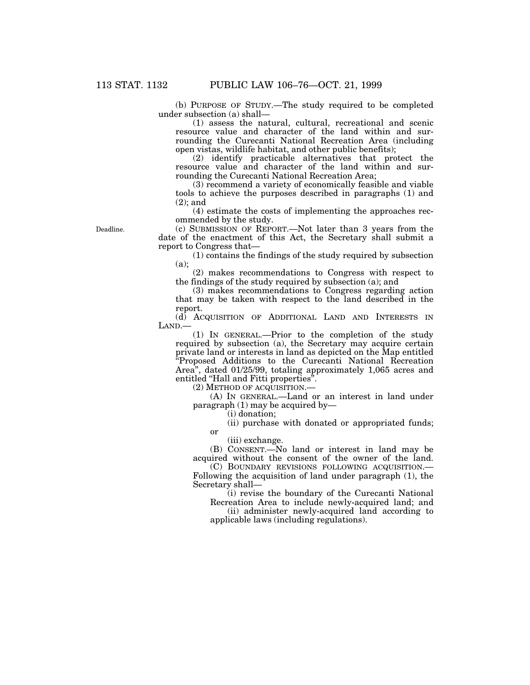(b) PURPOSE OF STUDY.—The study required to be completed under subsection (a) shall—

(1) assess the natural, cultural, recreational and scenic resource value and character of the land within and surrounding the Curecanti National Recreation Area (including open vistas, wildlife habitat, and other public benefits);

(2) identify practicable alternatives that protect the resource value and character of the land within and surrounding the Curecanti National Recreation Area;

(3) recommend a variety of economically feasible and viable tools to achieve the purposes described in paragraphs (1) and (2); and

(4) estimate the costs of implementing the approaches recommended by the study.

Deadline.

(c) SUBMISSION OF REPORT.—Not later than 3 years from the date of the enactment of this Act, the Secretary shall submit a report to Congress that—

(1) contains the findings of the study required by subsection (a);

(2) makes recommendations to Congress with respect to the findings of the study required by subsection (a); and

(3) makes recommendations to Congress regarding action that may be taken with respect to the land described in the report.

(d) ACQUISITION OF ADDITIONAL LAND AND INTERESTS IN LAND.—

(1) IN GENERAL.—Prior to the completion of the study required by subsection (a), the Secretary may acquire certain private land or interests in land as depicted on the Map entitled ''Proposed Additions to the Curecanti National Recreation Area'', dated 01/25/99, totaling approximately 1,065 acres and entitled "Hall and Fitti properties".

(2) METHOD OF ACQUISITION.—

(A) IN GENERAL.—Land or an interest in land under paragraph (1) may be acquired by—

(i) donation;

(ii) purchase with donated or appropriated funds;

or

(iii) exchange. (B) CONSENT.—No land or interest in land may be

acquired without the consent of the owner of the land. (C) BOUNDARY REVISIONS FOLLOWING ACQUISITION.—

Following the acquisition of land under paragraph (1), the Secretary shall—

(i) revise the boundary of the Curecanti National Recreation Area to include newly-acquired land; and

(ii) administer newly-acquired land according to applicable laws (including regulations).